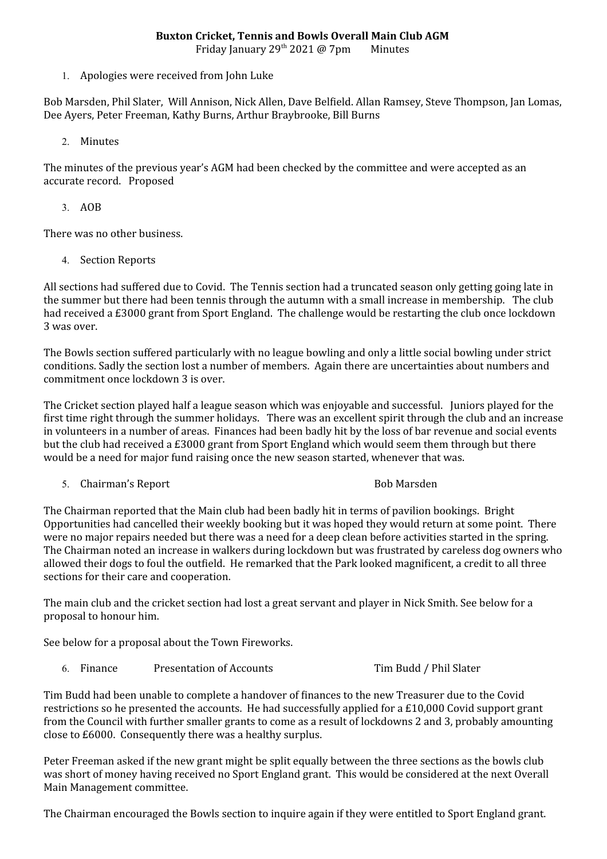Friday January 29<sup>th</sup> 2021 @ 7pm Minutes

1. Apologies were received from John Luke

Bob Marsden, Phil Slater, Will Annison, Nick Allen, Dave Belfield. Allan Ramsey, Steve Thompson, Jan Lomas, Dee Ayers, Peter Freeman, Kathy Burns, Arthur Braybrooke, Bill Burns

2. Minutes

The minutes of the previous year's AGM had been checked by the committee and were accepted as an accurate record. Proposed

3. AOB

There was no other business.

4. Section Reports

All sections had suffered due to Covid. The Tennis section had a truncated season only getting going late in the summer but there had been tennis through the autumn with a small increase in membership. The club had received a £3000 grant from Sport England. The challenge would be restarting the club once lockdown 3 was over.

The Bowls section suffered particularly with no league bowling and only a little social bowling under strict conditions. Sadly the section lost a number of members. Again there are uncertainties about numbers and commitment once lockdown 3 is over.

The Cricket section played half a league season which was enjoyable and successful. Juniors played for the first time right through the summer holidays. There was an excellent spirit through the club and an increase in volunteers in a number of areas. Finances had been badly hit by the loss of bar revenue and social events but the club had received a £3000 grant from Sport England which would seem them through but there would be a need for major fund raising once the new season started, whenever that was.

5. Chairman's Report **Bob Marsden** Bob Marsden

The Chairman reported that the Main club had been badly hit in terms of pavilion bookings. Bright Opportunities had cancelled their weekly booking but it was hoped they would return at some point. There were no major repairs needed but there was a need for a deep clean before activities started in the spring. The Chairman noted an increase in walkers during lockdown but was frustrated by careless dog owners who allowed their dogs to foul the outfield. He remarked that the Park looked magnificent, a credit to all three sections for their care and cooperation.

The main club and the cricket section had lost a great servant and player in Nick Smith. See below for a proposal to honour him.

See below for a proposal about the Town Fireworks.

6. Finance Presentation of Accounts Tim Budd / Phil Slater

Tim Budd had been unable to complete a handover of finances to the new Treasurer due to the Covid restrictions so he presented the accounts. He had successfully applied for a £10,000 Covid support grant from the Council with further smaller grants to come as a result of lockdowns 2 and 3, probably amounting close to £6000. Consequently there was a healthy surplus.

Peter Freeman asked if the new grant might be split equally between the three sections as the bowls club was short of money having received no Sport England grant. This would be considered at the next Overall Main Management committee.

The Chairman encouraged the Bowls section to inquire again if they were entitled to Sport England grant.